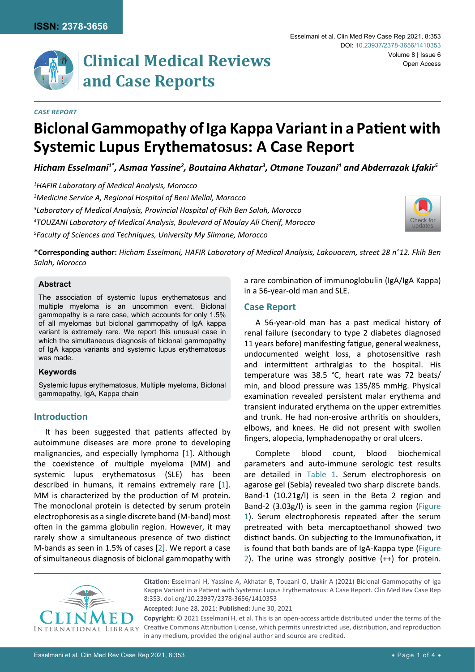# **Clinical Medical Reviews and Case Reports**

## *Case Report*

## **Biclonal Gammopathy of Iga Kappa Variant in a Patient with Systemic Lupus Erythematosus: A Case Report**

*Hicham Esselmani1\*, Asmaa Yassine2 , Boutaina Akhatar3 , Otmane Touzani4 and Abderrazak Lfakir5*

 *HAFIR Laboratory of Medical Analysis, Morocco Medicine Service A, Regional Hospital of Beni Mellal, Morocco Laboratory of Medical Analysis, Provincial Hospital of Fkih Ben Salah, Morocco TOUZANI Laboratory of Medical Analysis, Boulevard of Moulay Ali Cherif, Morocco Faculty of Sciences and Techniques, University My Slimane, Morocco*



**\*Corresponding author:** *Hicham Esselmani, HAFIR Laboratory of Medical Analysis, Lakouacem, street 28 n°12. Fkih Ben Salah, Morocco*

## **Abstract**

The association of systemic lupus erythematosus and multiple myeloma is an uncommon event. Biclonal gammopathy is a rare case, which accounts for only 1.5% of all myelomas but biclonal gammopathy of IgA kappa variant is extremely rare. We report this unusual case in which the simultaneous diagnosis of biclonal gammopathy of IgA kappa variants and systemic lupus erythematosus was made.

## **Keywords**

Systemic lupus erythematosus, Multiple myeloma, Biclonal gammopathy, IgA, Kappa chain

## **Introduction**

It has been suggested that patients affected by autoimmune diseases are more prone to developing malignancies, and especially lymphoma [[1](#page-2-1)]. Although the coexistence of multiple myeloma (MM) and systemic lupus erythematosus (SLE) has been described in humans, it remains extremely rare [[1](#page-2-1)]. MM is characterized by the production of M protein. The monoclonal protein is detected by serum protein electrophoresis as a single discrete band (M-band) most often in the gamma globulin region. However, it may rarely show a simultaneous presence of two distinct M-bands as seen in 1.5% of cases [[2](#page-2-2)]. We report a case of simultaneous diagnosis of biclonal gammopathy with a rare combination of immunoglobulin (IgA/IgA Kappa) in a 56-year-old man and SLE.

## **Case Report**

A 56-year-old man has a past medical history of renal failure (secondary to type 2 diabetes diagnosed 11 years before) manifesting fatigue, general weakness, undocumented weight loss, a photosensitive rash and intermittent arthralgias to the hospital. His temperature was 38.5 °C, heart rate was 72 beats/ min, and blood pressure was 135/85 mmHg. Physical examination revealed persistent malar erythema and transient indurated erythema on the upper extremities and trunk. He had non-erosive arthritis on shoulders, elbows, and knees. He did not present with swollen fingers, alopecia, lymphadenopathy or oral ulcers.

Complete blood count, blood biochemical parameters and auto-immune serologic test results are detailed in [Table 1](#page-1-0). Serum electrophoresis on agarose gel (Sebia) revealed two sharp discrete bands. Band-1 (10.21g/l) is seen in the Beta 2 region and Band-2 (3.03g/l) is seen in the gamma region ([Figure](#page-1-1)  [1](#page-1-1)). Serum electrophoresis repeated after the serum pretreated with beta mercaptoethanol showed two distinct bands. On subjecting to the Immunofixation, it is found that both bands are of IgA-Kappa type ([Figure](#page-2-0)  [2](#page-2-0)). The urine was strongly positive (++) for protein.



**Citation:** Esselmani H, Yassine A, Akhatar B, Touzani O, Lfakir A (2021) Biclonal Gammopathy of Iga Kappa Variant in a Patient with Systemic Lupus Erythematosus: A Case Report. Clin Med Rev Case Rep 8:353. [doi.org/10.23937/2378-3656/1410353](https://doi.org/10.23937/2378-3656/1410353)

**Accepted:** June 28, 2021: **Published:** June 30, 2021

**Copyright:** © 2021 Esselmani H, et al. This is an open-access article distributed under the terms of the Creative Commons Attribution License, which permits unrestricted use, distribution, and reproduction in any medium, provided the original author and source are credited.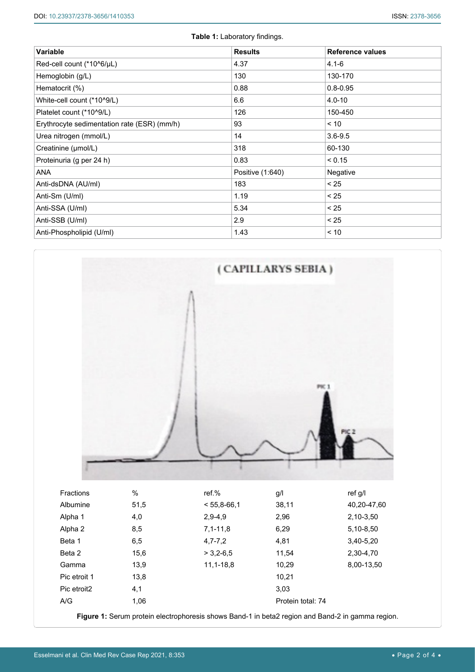<span id="page-1-0"></span>

| <b>Table 1: Laboratory findings.</b>        |                  |                         |
|---------------------------------------------|------------------|-------------------------|
| <b>Variable</b>                             | <b>Results</b>   | <b>Reference values</b> |
| Red-cell count (*10^6/µL)                   | 4.37             | $4.1 - 6$               |
| Hemoglobin (g/L)                            | 130              | 130-170                 |
| Hematocrit (%)                              | 0.88             | $0.8 - 0.95$            |
| White-cell count (*10^9/L)                  | 6.6              | $4.0 - 10$              |
| Platelet count (*10^9/L)                    | 126              | 150-450                 |
| Erythrocyte sedimentation rate (ESR) (mm/h) | 93               | < 10                    |
| Urea nitrogen (mmol/L)                      | 14               | $3.6 - 9.5$             |
| Creatinine (µmol/L)                         | 318              | 60-130                  |
| Proteinuria (g per 24 h)                    | 0.83             | < 0.15                  |
| ANA                                         | Positive (1:640) | Negative                |
| Anti-dsDNA (AU/ml)                          | 183              | < 25                    |
| Anti-Sm (U/ml)                              | 1.19             | < 25                    |
| Anti-SSA (U/ml)                             | 5.34             | < 25                    |
| Anti-SSB (U/ml)                             | 2.9              | < 25                    |
| Anti-Phospholipid (U/ml)                    | 1.43             | < 10                    |

<span id="page-1-1"></span>

**Figure 1:** Serum protein electrophoresis shows Band-1 in beta2 region and Band-2 in gamma region.

Pic etroit2 4,1 3,03

A/G 1,06 1,06 Protein total: 74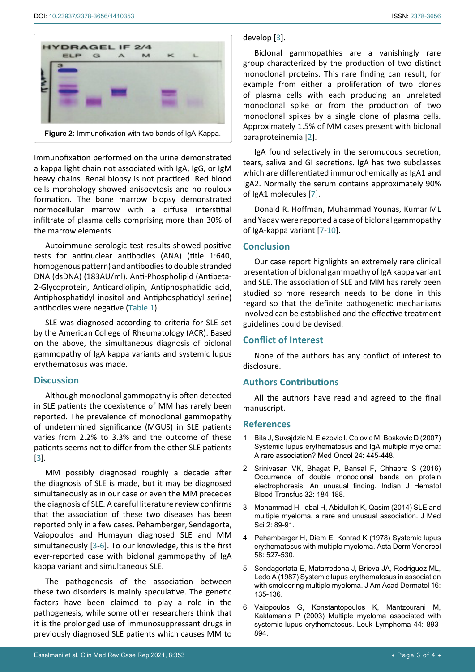<span id="page-2-0"></span>

Immunofixation performed on the urine demonstrated a kappa light chain not associated with IgA, IgG, or IgM heavy chains. Renal biopsy is not practiced. Red blood cells morphology showed anisocytosis and no rouloux formation. The bone marrow biopsy demonstrated normocellular marrow with a diffuse interstitial infiltrate of plasma cells comprising more than 30% of the marrow elements.

Autoimmune serologic test results showed positive tests for antinuclear antibodies (ANA) (title 1:640, homogenous pattern) and antibodies to double stranded DNA (dsDNA) (183AU/ml). Anti-Phospholipid (Antibeta-2-Glycoprotein, Anticardiolipin, Antiphosphatidic acid, Antiphosphatidyl inositol and Antiphosphatidyl serine) antibodies were negative [\(Table 1\)](#page-1-0).

SLE was diagnosed according to criteria for SLE set by the American College of Rheumatology (ACR). Based on the above, the simultaneous diagnosis of biclonal gammopathy of IgA kappa variants and systemic lupus erythematosus was made.

## **Discussion**

Although monoclonal gammopathy is often detected in SLE patients the coexistence of MM has rarely been reported. The prevalence of monoclonal gammopathy of undetermined significance (MGUS) in SLE patients varies from 2.2% to 3.3% and the outcome of these patients seems not to differ from the other SLE patients [[3](#page-2-3)].

MM possibly diagnosed roughly a decade after the diagnosis of SLE is made, but it may be diagnosed simultaneously as in our case or even the MM precedes the diagnosis of SLE. A careful literature review confirms that the association of these two diseases has been reported only in a few cases. Pehamberger, Sendagorta, Vaiopoulos and Humayun diagnosed SLE and MM simultaneously [[3](#page-2-3)[-6\]](#page-2-4). To our knowledge, this is the first ever-reported case with biclonal gammopathy of IgA kappa variant and simultaneous SLE.

The pathogenesis of the association between these two disorders is mainly speculative. The genetic factors have been claimed to play a role in the pathogenesis, while some other researchers think that it is the prolonged use of immunosuppressant drugs in previously diagnosed SLE patients which causes MM to

Biclonal gammopathies are a vanishingly rare group characterized by the production of two distinct monoclonal proteins. This rare finding can result, for example from either a proliferation of two clones of plasma cells with each producing an unrelated monoclonal spike or from the production of two monoclonal spikes by a single clone of plasma cells. Approximately 1.5% of MM cases present with biclonal paraproteinemia [[2](#page-2-2)].

IgA found selectively in the seromucous secretion, tears, saliva and GI secretions. IgA has two subclasses which are differentiated immunochemically as IgA1 and IgA2. Normally the serum contains approximately 90% of IgA1 molecules [[7](#page-3-0)].

Donald R. Hoffman, Muhammad Younas, Kumar ML and Yadav were reported a case of biclonal gammopathy of IgA-kappa variant [[7](#page-3-0)-[10](#page-3-1)].

## **Conclusion**

Our case report highlights an extremely rare clinical presentation of biclonal gammpathy of IgA kappa variant and SLE. The association of SLE and MM has rarely been studied so more research needs to be done in this regard so that the definite pathogenetic mechanisms involved can be established and the effective treatment guidelines could be devised.

## **Conflict of Interest**

None of the authors has any conflict of interest to disclosure.

## **Authors Contributions**

All the authors have read and agreed to the final manuscript.

#### **References**

- <span id="page-2-1"></span>1. [Bila J, Suvajdzic N, Elezovic I, Colovic M, Boskovic D \(2007\)](https://pubmed.ncbi.nlm.nih.gov/17917096/)  [Systemic lupus erythematosus and IgA multiple myeloma:](https://pubmed.ncbi.nlm.nih.gov/17917096/)  [A rare association? Med Oncol 24: 445-448.](https://pubmed.ncbi.nlm.nih.gov/17917096/)
- <span id="page-2-2"></span>2. [Srinivasan VK, Bhagat P, Bansal F, Chhabra S \(2016\)](https://pubmed.ncbi.nlm.nih.gov/27408387/)  [Occurrence of double monoclonal bands on protein](https://pubmed.ncbi.nlm.nih.gov/27408387/)  [electrophoresis: An unusual finding. Indian J Hematol](https://pubmed.ncbi.nlm.nih.gov/27408387/)  [Blood Transfus 32: 184-188.](https://pubmed.ncbi.nlm.nih.gov/27408387/)
- <span id="page-2-3"></span>3. Mohammad H, Iqbal H, Abidullah K, Qasim (2014) SLE and multiple myeloma, a rare and unusual association. J Med Sci 2: 89-91.
- 4. [Pehamberger H, Diem E, Konrad K \(1978\) Systemic lupus](https://pubmed.ncbi.nlm.nih.gov/83077/)  [erythematosus with multiple myeloma. Acta Derm Venereol](https://pubmed.ncbi.nlm.nih.gov/83077/)  [58: 527-530.](https://pubmed.ncbi.nlm.nih.gov/83077/)
- 5. [Sendagortata E, Matarredona J, Brieva JA, Rodriguez ML,](https://pubmed.ncbi.nlm.nih.gov/3805381/)  [Ledo A \(1987\) Systemic lupus erythematosus in association](https://pubmed.ncbi.nlm.nih.gov/3805381/)  [with smoldering multiple myeloma. J Am Acad Dermatol 16:](https://pubmed.ncbi.nlm.nih.gov/3805381/)  [135-136.](https://pubmed.ncbi.nlm.nih.gov/3805381/)
- <span id="page-2-4"></span>6. [Vaiopoulos G, Konstantopoulos K, Mantzourani M,](https://pubmed.ncbi.nlm.nih.gov/12802935/)  [Kaklamanis P \(2003\) Multiple myeloma associated with](https://pubmed.ncbi.nlm.nih.gov/12802935/)  [systemic lupus erythematosus. Leuk Lymphoma 44: 893-](https://pubmed.ncbi.nlm.nih.gov/12802935/) [894.](https://pubmed.ncbi.nlm.nih.gov/12802935/)